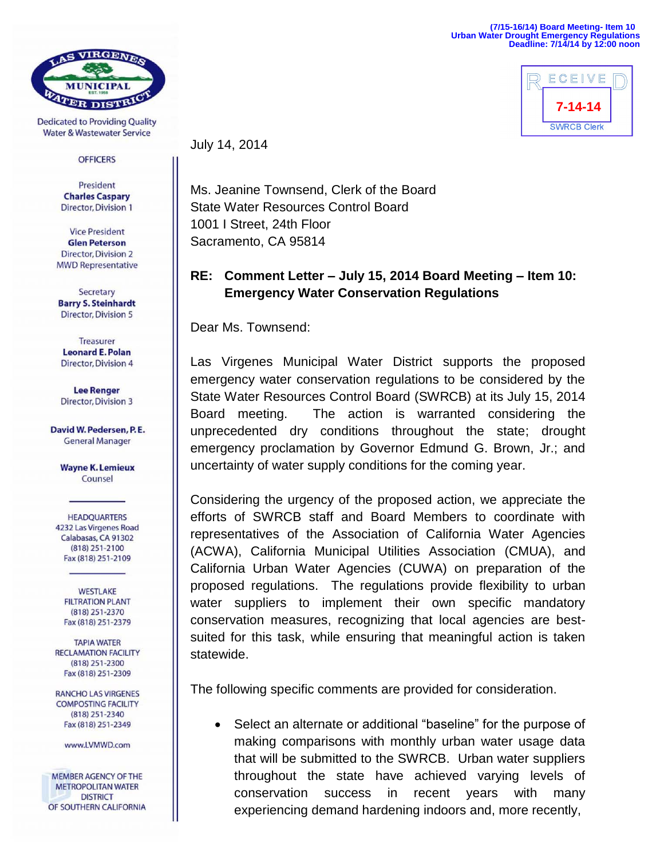## **(7/15-16/14) Board Meeting- Item 10 Urban Water Drought Emergency Regulations Deadline: 7/14/14 by 12:00 noon**



VIRGENES

**Dedicated to Providing Quality Water & Wastewater Service** 

## **OFFICERS**

President **Charles Caspary Director, Division 1** 

**Vice President Glen Peterson Director, Division 2 MWD Representative** 

Secretary **Barry S. Steinhardt Director, Division 5** 

**Treasurer Leonard E. Polan Director, Division 4** 

**Lee Renger Director, Division 3** 

David W. Pedersen, P.E. **General Manager** 

**Wayne K. Lemieux** Counsel

**HEADQUARTERS** 4232 Las Virgenes Road Calabasas, CA 91302 (818) 251-2100 Fax (818) 251-2109

**WESTLAKE FILTRATION PLANT** (818) 251-2370 Fax (818) 251-2379

**TAPIA WATER RECLAMATION FACILITY**  $(818)$  251-2300 Fax (818) 251-2309

**RANCHO LAS VIRGENES COMPOSTING FACILITY** (818) 251-2340 Fax (818) 251-2349

www.LVMWD.com

**MEMBER AGENCY OF THE METROPOLITAN WATER DISTRICT** OF SOUTHERN CALIFORNIA July 14, 2014

Ms. Jeanine Townsend, Clerk of the Board State Water Resources Control Board 1001 I Street, 24th Floor Sacramento, CA 95814

## **RE: Comment Letter – July 15, 2014 Board Meeting – Item 10: Emergency Water Conservation Regulations**

Dear Ms. Townsend:

Las Virgenes Municipal Water District supports the proposed emergency water conservation regulations to be considered by the State Water Resources Control Board (SWRCB) at its July 15, 2014 Board meeting. The action is warranted considering the unprecedented dry conditions throughout the state; drought emergency proclamation by Governor Edmund G. Brown, Jr.; and uncertainty of water supply conditions for the coming year.

Considering the urgency of the proposed action, we appreciate the efforts of SWRCB staff and Board Members to coordinate with representatives of the Association of California Water Agencies (ACWA), California Municipal Utilities Association (CMUA), and California Urban Water Agencies (CUWA) on preparation of the proposed regulations. The regulations provide flexibility to urban water suppliers to implement their own specific mandatory conservation measures, recognizing that local agencies are bestsuited for this task, while ensuring that meaningful action is taken statewide.

The following specific comments are provided for consideration.

 Select an alternate or additional "baseline" for the purpose of making comparisons with monthly urban water usage data that will be submitted to the SWRCB. Urban water suppliers throughout the state have achieved varying levels of conservation success in recent years with many experiencing demand hardening indoors and, more recently,